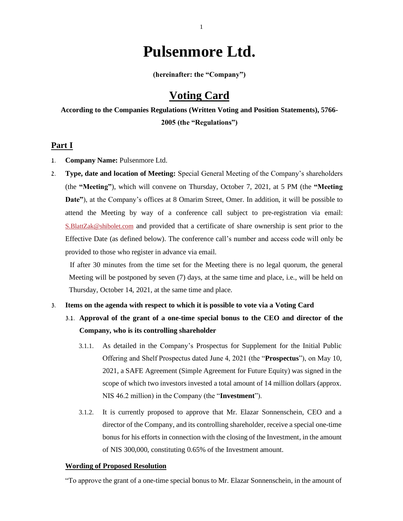# **Pulsenmore Ltd.**

**(hereinafter: the "Company")**

# **Voting Card**

**According to the Companies Regulations (Written Voting and Position Statements), 5766- 2005 (the "Regulations")**

#### **Part I**

- 1. **Company Name:** Pulsenmore Ltd.
- 2. **Type, date and location of Meeting:** Special General Meeting of the Company's shareholders (the **"Meeting"**), which will convene on Thursday, October 7, 2021, at 5 PM (the **"Meeting Date"**), at the Company's offices at 8 Omarim Street, Omer. In addition, it will be possible to attend the Meeting by way of a conference call subject to pre-registration via email: [S.BlattZak@shibolet.com](mailto:S.BlattZak@shibolet.com) and provided that a certificate of share ownership is sent prior to the Effective Date (as defined below). The conference call's number and access code will only be provided to those who register in advance via email.

If after 30 minutes from the time set for the Meeting there is no legal quorum, the general Meeting will be postponed by seven (7) days, at the same time and place, i.e., will be held on Thursday, October 14, 2021, at the same time and place.

- 3. **Items on the agenda with respect to which it is possible to vote via a Voting Card**
	- 3.1. **Approval of the grant of a one-time special bonus to the CEO and director of the Company, who is its controlling shareholder**
		- 3.1.1. As detailed in the Company's Prospectus for Supplement for the Initial Public Offering and Shelf Prospectus dated June 4, 2021 (the "**Prospectus**"), on May 10, 2021, a SAFE Agreement (Simple Agreement for Future Equity) was signed in the scope of which two investors invested a total amount of 14 million dollars (approx. NIS 46.2 million) in the Company (the "**Investment**").
		- 3.1.2. It is currently proposed to approve that Mr. Elazar Sonnenschein, CEO and a director of the Company, and its controlling shareholder, receive a special one-time bonus for his efforts in connection with the closing of the Investment, in the amount of NIS 300,000, constituting 0.65% of the Investment amount.

#### **Wording of Proposed Resolution**

"To approve the grant of a one-time special bonus to Mr. Elazar Sonnenschein, in the amount of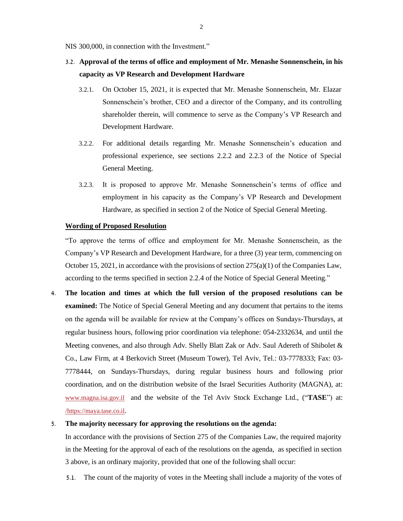NIS 300,000, in connection with the Investment."

### 3.2. **Approval of the terms of office and employment of Mr. Menashe Sonnenschein, in his capacity as VP Research and Development Hardware**

- 3.2.1. On October 15, 2021, it is expected that Mr. Menashe Sonnenschein, Mr. Elazar Sonnenschein's brother, CEO and a director of the Company, and its controlling shareholder therein, will commence to serve as the Company's VP Research and Development Hardware.
- 3.2.2. For additional details regarding Mr. Menashe Sonnenschein's education and professional experience, see sections 2.2.2 and 2.2.3 of the Notice of Special General Meeting.
- 3.2.3. It is proposed to approve Mr. Menashe Sonnenschein's terms of office and employment in his capacity as the Company's VP Research and Development Hardware, as specified in section 2 of the Notice of Special General Meeting.

#### **Wording of Proposed Resolution**

"To approve the terms of office and employment for Mr. Menashe Sonnenschein, as the Company's VP Research and Development Hardware, for a three (3) year term, commencing on October 15, 2021, in accordance with the provisions of section  $275(a)(1)$  of the Companies Law, according to the terms specified in section 2.2.4 of the Notice of Special General Meeting."

4. **The location and times at which the full version of the proposed resolutions can be examined:** The Notice of Special General Meeting and any document that pertains to the items on the agenda will be available for review at the Company's offices on Sundays-Thursdays, at regular business hours, following prior coordination via telephone: 054-2332634, and until the Meeting convenes, and also through Adv. Shelly Blatt Zak or Adv. Saul Adereth of Shibolet & Co., Law Firm, at 4 Berkovich Street (Museum Tower), Tel Aviv, Tel.: 03-7778333; Fax: 03- 7778444, on Sundays-Thursdays, during regular business hours and following prior coordination, and on the distribution website of the Israel Securities Authority (MAGNA), at: [www.magna.isa.gov.il](http://www.magna.isa.gov.il/) and the website of the Tel Aviv Stock Exchange Ltd., ("**TASE**") at: /https://maya.tase.co.il.

#### 5. **The majority necessary for approving the resolutions on the agenda:**

In accordance with the provisions of Section 275 of the Companies Law, the required majority in the Meeting for the approval of each of the resolutions on the agenda, as specified in section 3 above, is an ordinary majority, provided that one of the following shall occur:

5.1. The count of the majority of votes in the Meeting shall include a majority of the votes of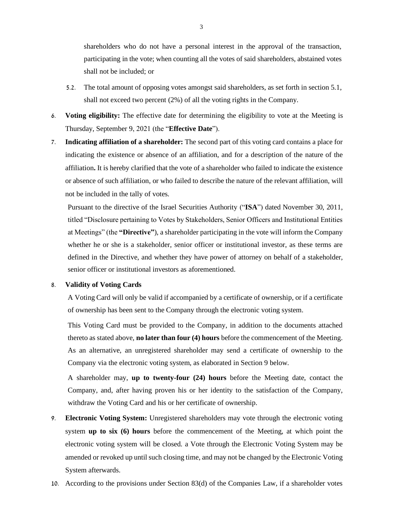shareholders who do not have a personal interest in the approval of the transaction, participating in the vote; when counting all the votes of said shareholders, abstained votes shall not be included; or

- 5.2. The total amount of opposing votes amongst said shareholders, as set forth in section 5.1, shall not exceed two percent (2%) of all the voting rights in the Company.
- 6. **Voting eligibility:** The effective date for determining the eligibility to vote at the Meeting is Thursday, September 9, 2021 (the "**Effective Date**").
- 7. **Indicating affiliation of a shareholder:** The second part of this voting card contains a place for indicating the existence or absence of an affiliation, and for a description of the nature of the affiliation**.** It is hereby clarified that the vote of a shareholder who failed to indicate the existence or absence of such affiliation, or who failed to describe the nature of the relevant affiliation, will not be included in the tally of votes.

Pursuant to the directive of the Israel Securities Authority ("**ISA**") dated November 30, 2011, titled "Disclosure pertaining to Votes by Stakeholders, Senior Officers and Institutional Entities at Meetings" (the **"Directive"**), a shareholder participating in the vote will inform the Company whether he or she is a stakeholder, senior officer or institutional investor, as these terms are defined in the Directive, and whether they have power of attorney on behalf of a stakeholder, senior officer or institutional investors as aforementioned.

#### 8. **Validity of Voting Cards**

A Voting Card will only be valid if accompanied by a certificate of ownership, or if a certificate of ownership has been sent to the Company through the electronic voting system.

This Voting Card must be provided to the Company, in addition to the documents attached thereto as stated above, **no later than four (4) hours** before the commencement of the Meeting. As an alternative, an unregistered shareholder may send a certificate of ownership to the Company via the electronic voting system, as elaborated in Section 9 below.

A shareholder may, **up to twenty-four (24) hours** before the Meeting date, contact the Company, and, after having proven his or her identity to the satisfaction of the Company, withdraw the Voting Card and his or her certificate of ownership.

- 9. **Electronic Voting System:** Unregistered shareholders may vote through the electronic voting system **up to six (6) hours** before the commencement of the Meeting, at which point the electronic voting system will be closed. a Vote through the Electronic Voting System may be amended or revoked up until such closing time, and may not be changed by the Electronic Voting System afterwards.
- 10. According to the provisions under Section 83(d) of the Companies Law, if a shareholder votes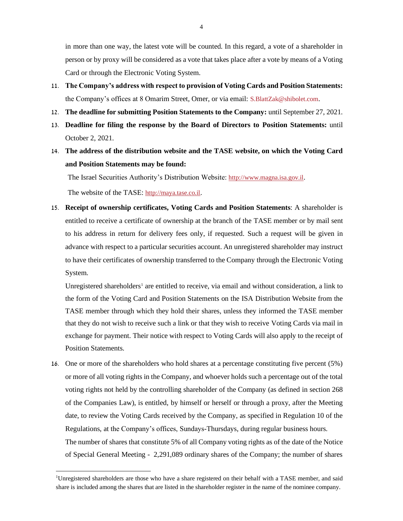in more than one way, the latest vote will be counted. In this regard, a vote of a shareholder in person or by proxy will be considered as a vote that takes place after a vote by means of a Voting Card or through the Electronic Voting System.

- 11. **The Company's address with respect to provision of Voting Cards and Position Statements:** the Company's offices at 8 Omarim Street, Omer, or via email: [S.BlattZak@shibolet.com](mailto:S.BlattZak@shibolet.com).
- 12. **The deadline for submitting Position Statements to the Company:** until September 27, 2021.
- 13. **Deadline for filing the response by the Board of Directors to Position Statements:** until October 2, 2021.
- 14. **The address of the distribution website and the TASE website, on which the Voting Card and Position Statements may be found:**

The Israel Securities Authority's Distribution Website: [http://www.magna.isa.gov.il](http://www.magna.isa.gov.il/).

The website of the TASE: [http://maya.tase.co.il](http://maya.tase.co.il/).

15. **Receipt of ownership certificates, Voting Cards and Position Statements**: A shareholder is entitled to receive a certificate of ownership at the branch of the TASE member or by mail sent to his address in return for delivery fees only, if requested. Such a request will be given in advance with respect to a particular securities account. An unregistered shareholder may instruct to have their certificates of ownership transferred to the Company through the Electronic Voting System.

Unregistered shareholders<sup>1</sup> are entitled to receive, via email and without consideration, a link to the form of the Voting Card and Position Statements on the ISA Distribution Website from the TASE member through which they hold their shares, unless they informed the TASE member that they do not wish to receive such a link or that they wish to receive Voting Cards via mail in exchange for payment. Their notice with respect to Voting Cards will also apply to the receipt of Position Statements.

16. One or more of the shareholders who hold shares at a percentage constituting five percent (5%) or more of all voting rights in the Company, and whoever holds such a percentage out of the total voting rights not held by the controlling shareholder of the Company (as defined in section 268 of the Companies Law), is entitled, by himself or herself or through a proxy, after the Meeting date, to review the Voting Cards received by the Company, as specified in Regulation 10 of the Regulations, at the Company's offices, Sundays-Thursdays, during regular business hours. The number of shares that constitute 5% of all Company voting rights as of the date of the Notice of Special General Meeting - 2,291,089 ordinary shares of the Company; the number of shares

<sup>1</sup>Unregistered shareholders are those who have a share registered on their behalf with a TASE member, and said share is included among the shares that are listed in the shareholder register in the name of the nominee company.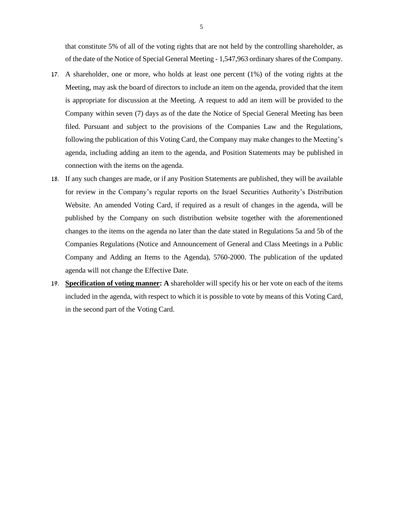that constitute 5% of all of the voting rights that are not held by the controlling shareholder, as of the date of the Notice of Special General Meeting - 1,547,963 ordinary shares of the Company.

- 17. A shareholder, one or more, who holds at least one percent (1%) of the voting rights at the Meeting, may ask the board of directors to include an item on the agenda, provided that the item is appropriate for discussion at the Meeting. A request to add an item will be provided to the Company within seven (7) days as of the date the Notice of Special General Meeting has been filed. Pursuant and subject to the provisions of the Companies Law and the Regulations, following the publication of this Voting Card, the Company may make changes to the Meeting's agenda, including adding an item to the agenda, and Position Statements may be published in connection with the items on the agenda.
- 18. If any such changes are made, or if any Position Statements are published, they will be available for review in the Company's regular reports on the Israel Securities Authority's Distribution Website. An amended Voting Card, if required as a result of changes in the agenda, will be published by the Company on such distribution website together with the aforementioned changes to the items on the agenda no later than the date stated in Regulations 5a and 5b of the Companies Regulations (Notice and Announcement of General and Class Meetings in a Public Company and Adding an Items to the Agenda), 5760-2000. The publication of the updated agenda will not change the Effective Date.
- 19. **Specification of voting manner: A** shareholder will specify his or her vote on each of the items included in the agenda, with respect to which it is possible to vote by means of this Voting Card, in the second part of the Voting Card.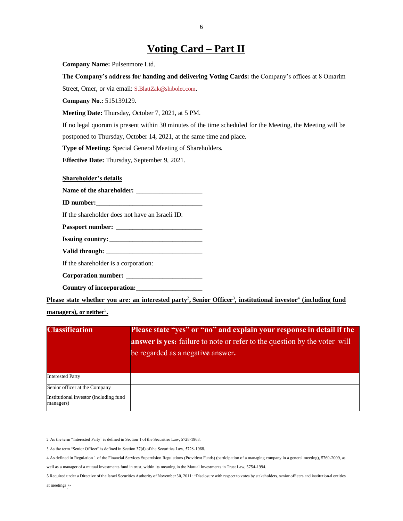## **Voting Card – Part II**

**Company Name:** Pulsenmore Ltd.

**The Company's address for handing and delivering Voting Cards:** the Company's offices at 8 Omarim Street, Omer, or via email: [S.BlattZak@shibolet.com](mailto:S.BlattZak@shibolet.com).

**Company No.:** 515139129.

**Meeting Date:** Thursday, October 7, 2021, at 5 PM.

If no legal quorum is present within 30 minutes of the time scheduled for the Meeting, the Meeting will be postponed to Thursday, October 14, 2021, at the same time and place.

**Type of Meeting:** Special General Meeting of Shareholders.

**Effective Date:** Thursday, September 9, 2021.

**Shareholder's details**

**Name of the shareholder:** \_\_\_\_\_\_\_\_\_\_\_\_\_\_\_\_\_\_\_\_

**ID** number:

If the shareholder does not have an Israeli ID:

**Passport number:** \_\_\_\_\_\_\_\_\_\_\_\_\_\_\_\_\_\_\_\_\_\_\_\_\_\_

**Issuing country:** \_\_\_\_\_\_\_\_\_\_\_\_\_\_\_\_\_\_\_\_\_\_\_\_\_\_\_\_

Valid through:

If the shareholder is a corporation:

**Corporation number:** \_\_\_\_\_\_\_\_\_\_\_\_\_\_\_\_\_\_\_\_\_\_\_

**Country of incorporation:**\_\_\_\_\_\_\_\_\_\_\_\_\_\_\_\_\_\_\_\_

**Please state whether you are: an interested party<sup>2</sup>, Senior Officer<sup>3</sup>, institutional investor<sup>4</sup> (including fund** 

**managers), or neither**<sup>5</sup> **.** 

| <b>Classification</b>                               | Please state "yes" or "no" and explain your response in detail if the<br><b>answer is yes:</b> failure to note or refer to the question by the voter will |  |  |  |  |
|-----------------------------------------------------|-----------------------------------------------------------------------------------------------------------------------------------------------------------|--|--|--|--|
|                                                     |                                                                                                                                                           |  |  |  |  |
|                                                     | be regarded as a negative answer.                                                                                                                         |  |  |  |  |
|                                                     |                                                                                                                                                           |  |  |  |  |
| <b>Interested Party</b>                             |                                                                                                                                                           |  |  |  |  |
| Senior officer at the Company                       |                                                                                                                                                           |  |  |  |  |
| Institutional investor (including fund<br>managers) |                                                                                                                                                           |  |  |  |  |

<sup>2</sup> As the term "Interested Party" is defined in Section 1 of the Securities Law, 5728-1968.

<sup>3</sup> As the term "Senior Officer" is defined in Section 37(d) of the Securities Law, 5728-1968.

<sup>4</sup> As defined in Regulation 1 of the Financial Services Supervision Regulations (Provident Funds) (participation of a managing company in a general meeting), 5769-2009, as

well as a manager of a mutual investments fund in trust, within its meaning in the Mutual Investments in Trust Law, 5754-1994.

<sup>5</sup> Required under a Directive of the Israel Securities Authority of November 30, 2011: "Disclosure with respect to votes by stakeholders, senior officers and institutional entities at meetings "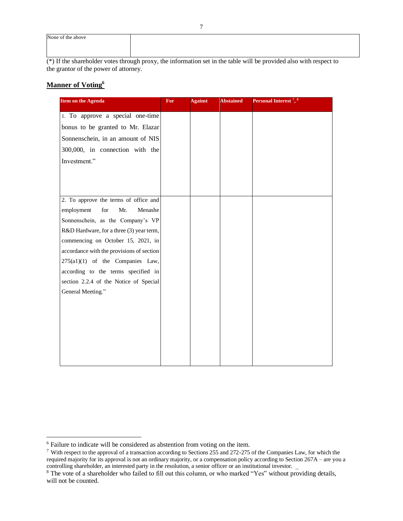(\*) If the shareholder votes through proxy, the information set in the table will be provided also with respect to the grantor of the power of attorney.

### **Manner of Voting<sup>6</sup>**

| <b>Item on the Agenda</b>                 | For | <b>Against</b> | <b>Abstained</b> | Personal Interest <sup>7</sup> , <sup>8</sup> |
|-------------------------------------------|-----|----------------|------------------|-----------------------------------------------|
| 1. To approve a special one-time          |     |                |                  |                                               |
| bonus to be granted to Mr. Elazar         |     |                |                  |                                               |
| Sonnenschein, in an amount of NIS         |     |                |                  |                                               |
| 300,000, in connection with the           |     |                |                  |                                               |
| Investment."                              |     |                |                  |                                               |
|                                           |     |                |                  |                                               |
|                                           |     |                |                  |                                               |
|                                           |     |                |                  |                                               |
| 2. To approve the terms of office and     |     |                |                  |                                               |
| employment<br>for<br>Mr.<br>Menashe       |     |                |                  |                                               |
| Sonnenschein, as the Company's VP         |     |                |                  |                                               |
| R&D Hardware, for a three (3) year term,  |     |                |                  |                                               |
| commencing on October 15, 2021, in        |     |                |                  |                                               |
| accordance with the provisions of section |     |                |                  |                                               |
| 275(a1)(1) of the Companies Law,          |     |                |                  |                                               |
| according to the terms specified in       |     |                |                  |                                               |
| section 2.2.4 of the Notice of Special    |     |                |                  |                                               |
| General Meeting."                         |     |                |                  |                                               |
|                                           |     |                |                  |                                               |
|                                           |     |                |                  |                                               |
|                                           |     |                |                  |                                               |
|                                           |     |                |                  |                                               |
|                                           |     |                |                  |                                               |
|                                           |     |                |                  |                                               |
|                                           |     |                |                  |                                               |

<sup>6</sup> Failure to indicate will be considered as abstention from voting on the item.

<sup>7</sup> With respect to the approval of a transaction according to Sections 255 and 272-275 of the Companies Law, for which the required majority for its approval is not an ordinary majority, or a compensation policy according to Section 267A – are you a controlling shareholder, an interested party in the resolution, a senior officer or an institutional investor.

<sup>&</sup>lt;sup>8</sup> The vote of a shareholder who failed to fill out this column, or who marked "Yes" without providing details, will not be counted.